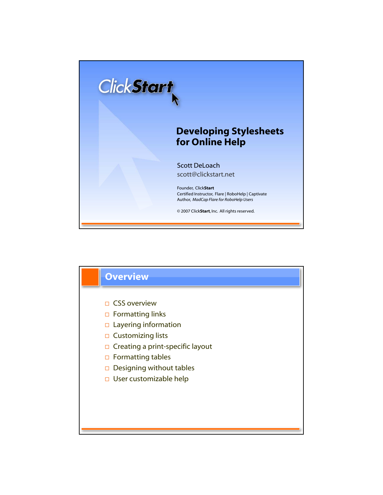

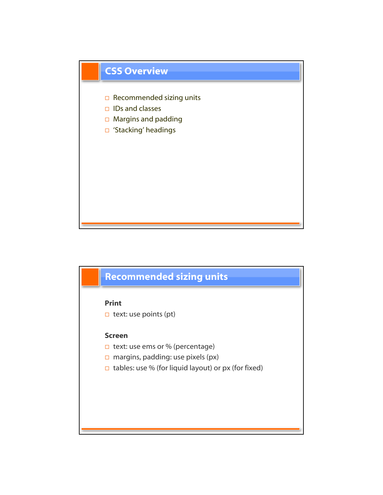

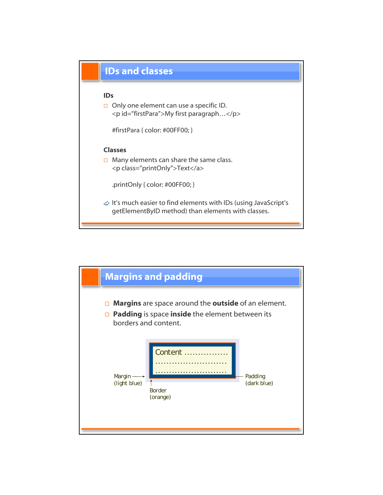

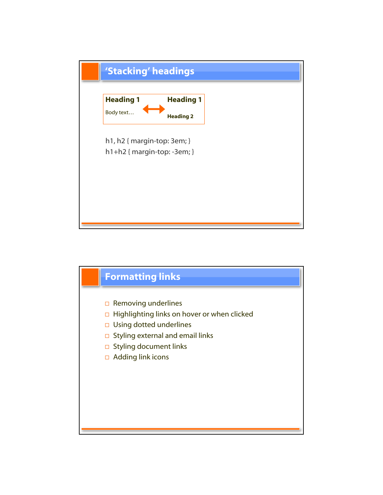

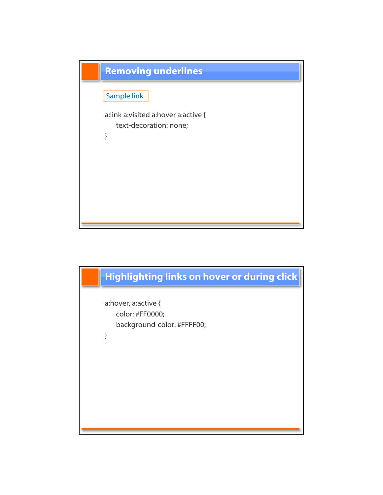

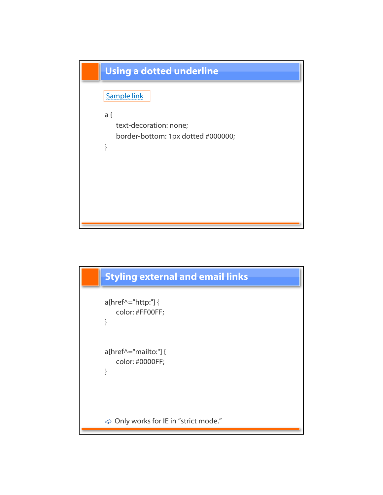

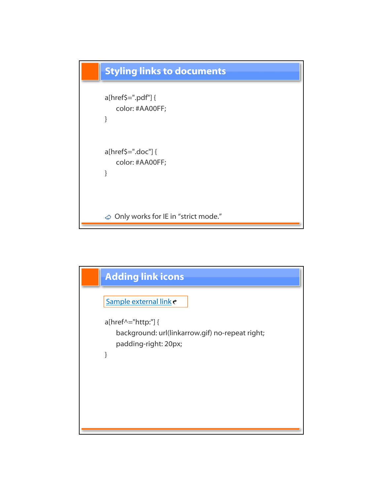

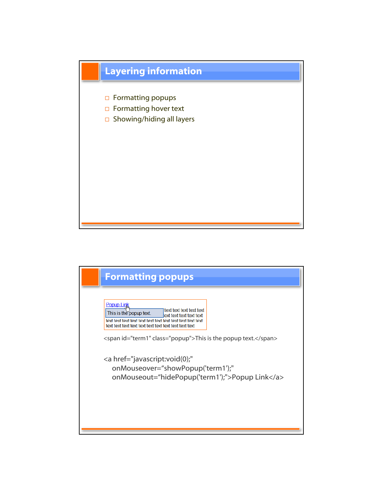

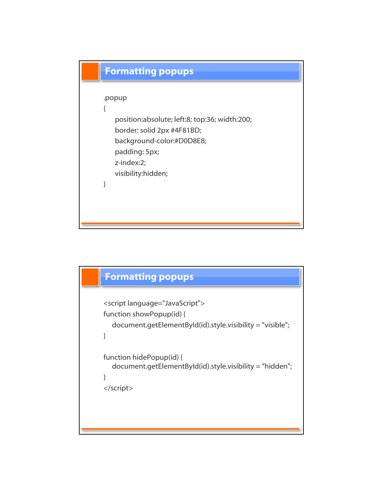

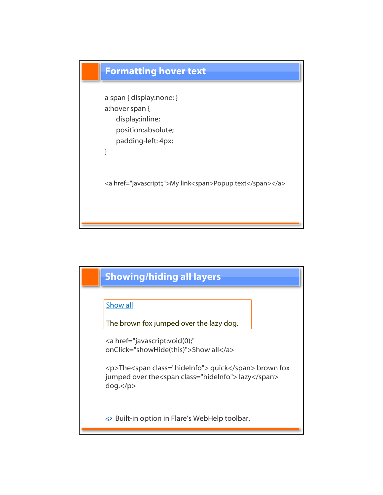

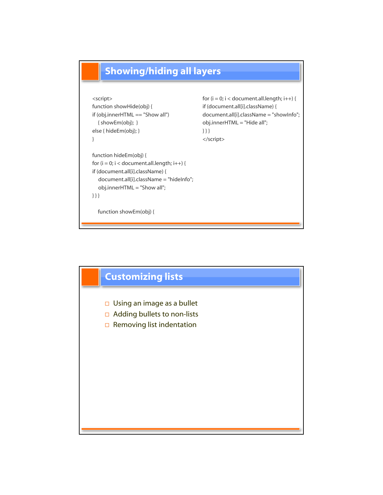

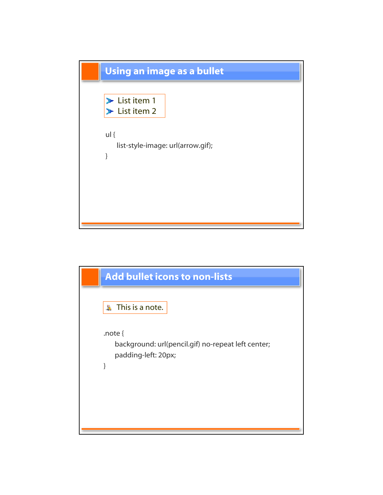

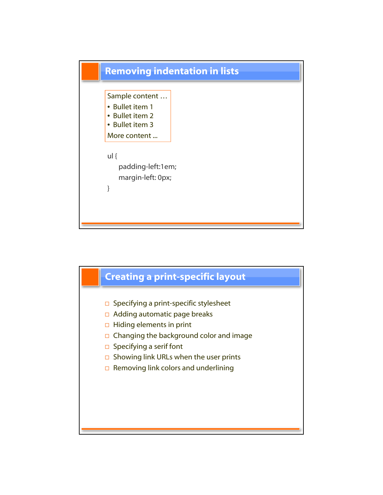

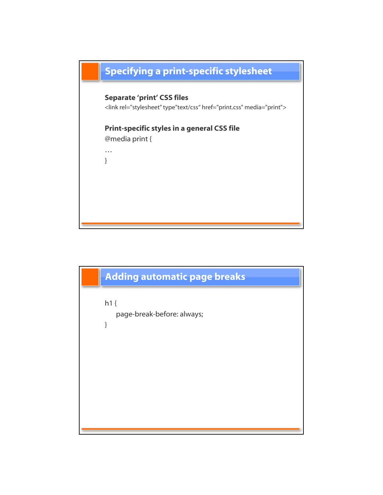

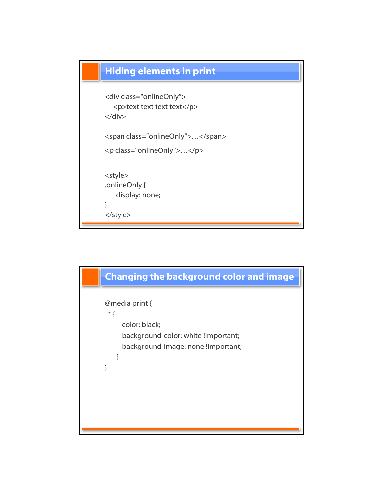

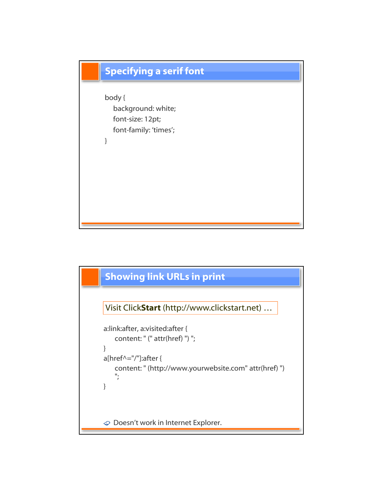

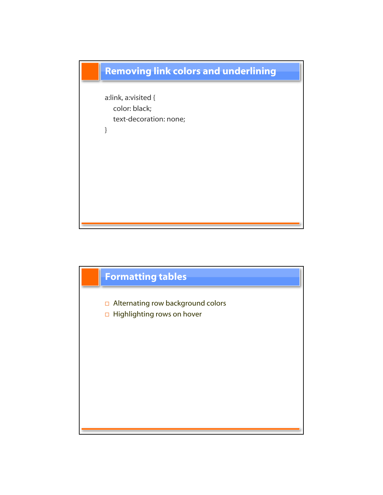

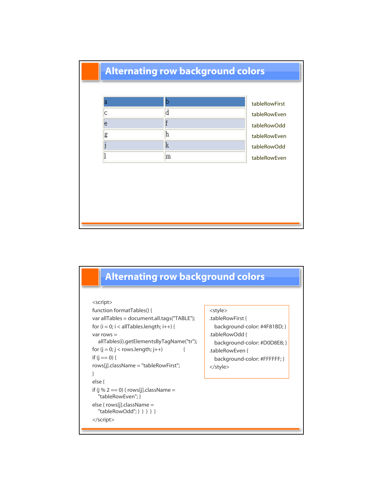## Alternating row background colors

|    |   | tableRowFirst |
|----|---|---------------|
|    | a | tableRowEven  |
| le |   | tableRowOdd   |
| g  | n | tableRowEven  |
|    | K | tableRowOdd   |
|    | m | tableRowEven  |

## Alternating row background colors

## <script>

```
function formatTables() { 
var allTables = document.all.tags("TABLE"); 
for (i = 0; i < allTables.length; i++) {
var rows = 
  allTables(i).getElementsByTagName("tr");
for (j = 0; j < rows.length; j++) {
if (j == 0) {
rows[j].className = "tableRowFirst";
}
else {
if (j % 2 == 0) { rows[j].className ="tableRowEven"; } 
else { rows[j].className = 
  "tableRowOdd"; } } } } }
</script>
```

```
<style>
.tableRowFirst {
  background-color: #4F81BD; }
.tableRowOdd {
 background-color: #D0D8E8; }
.tableRowEven {
 background-color: #FFFFFF; }
```
</style>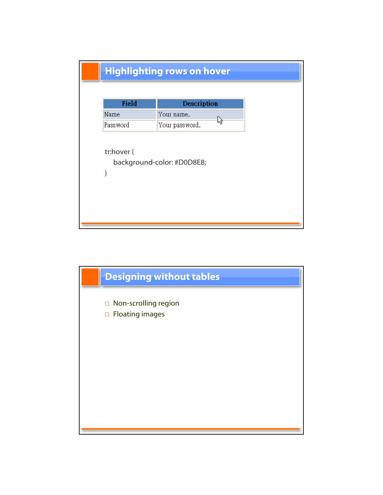| Field      | Description    |
|------------|----------------|
| Name       | Your name.     |
| Password   | Your password. |
| tr:hover { |                |

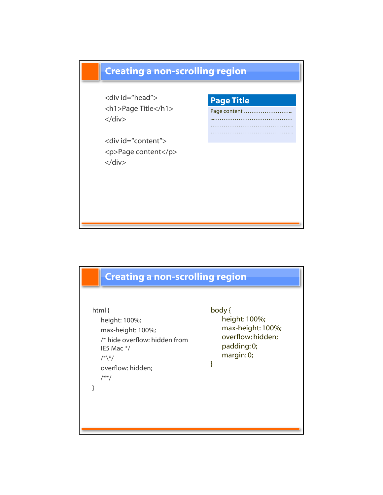

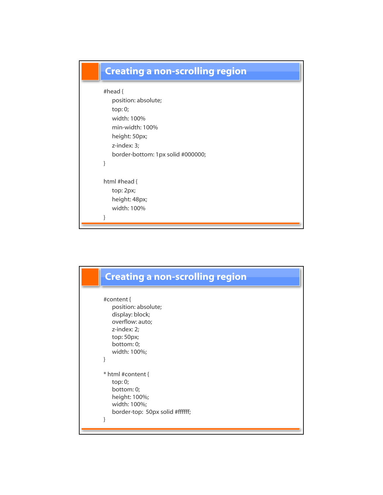

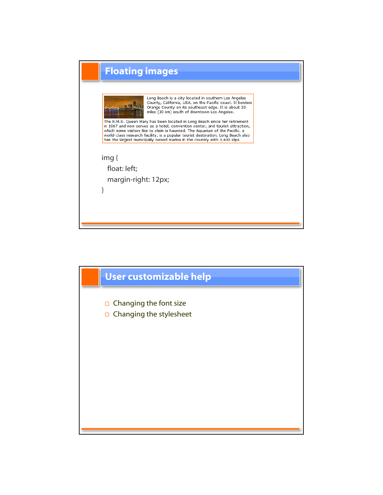

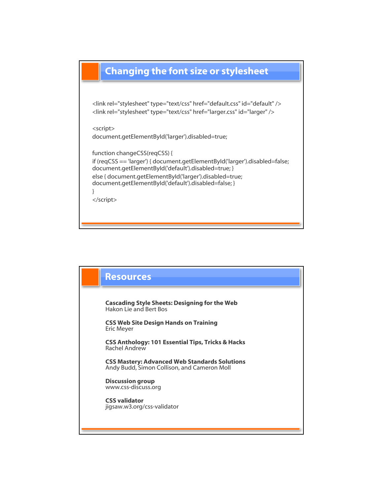